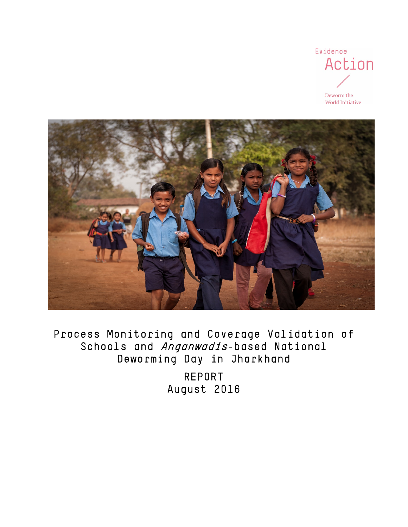

Deworm the World Initiative



Process Monitoring and Coverage Validation of Schools and *Anganwadis*-based National Deworming Day in Jharkhand

> REPORT August 2016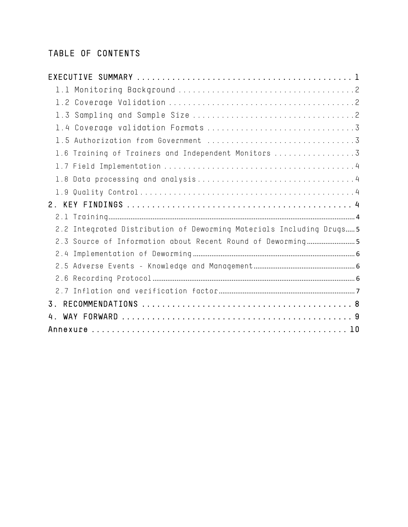# TABLE OF CONTENTS

| 1.6 Training of Trainers and Independent Monitors 3                  |
|----------------------------------------------------------------------|
|                                                                      |
|                                                                      |
|                                                                      |
|                                                                      |
|                                                                      |
| 2.2 Integrated Distribution of Deworming Materials Including Drugs 5 |
| 2.3 Source of Information about Recent Round of Deworming            |
|                                                                      |
|                                                                      |
|                                                                      |
|                                                                      |
| $\overline{3}$ .                                                     |
|                                                                      |
|                                                                      |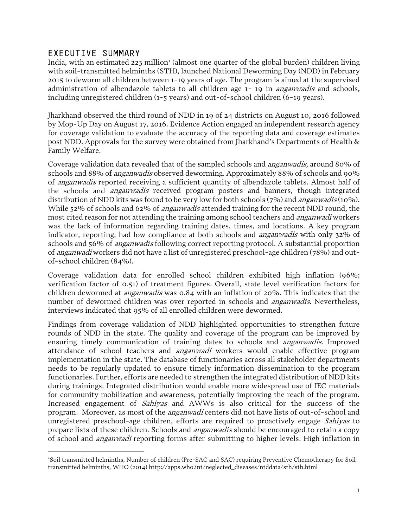### <span id="page-2-0"></span>EXECUTIVE SUMMARY

 $\overline{a}$ 

India, with an estimated 223 million<sup>[1](#page-2-1)</sup> (almost one quarter of the global burden) children living with soil-transmitted helminths (STH), launched National Deworming Day (NDD) in February 2015 to deworm all children between 1-19 years of age. The program is aimed at the supervised administration of albendazole tablets to all children age  $1-19$  in *anganwadis* and schools, including unregistered children (1-5 years) and out-of-school children (6-19 years).

Jharkhand observed the third round of NDD in 19 of 24 districts on August 10, 2016 followed by Mop-Up Day on August 17, 2016. Evidence Action engaged an independent research agency for coverage validation to evaluate the accuracy of the reporting data and coverage estimates post NDD. Approvals for the survey were obtained from Jharkhand's Departments of Health & Family Welfare.

Coverage validation data revealed that of the sampled schools and anganwadis, around 80% of schools and 88% of anganwadis observed deworming. Approximately 88% of schools and 90% of anganwadis reported receiving a sufficient quantity of albendazole tablets. Almost half of the schools and *anganwadis* received program posters and banners, though integrated distribution of NDD kits was found to be very low for both schools (7%) and *anganwadis* (10%). While 52% of schools and 62% of *anganwadis* attended training for the recent NDD round, the most cited reason for not attending the training among school teachers and *anganwadi* workers was the lack of information regarding training dates, times, and locations. A key program indicator, reporting, had low compliance at both schools and *anganwadis* with only 32% of schools and 56% of *anganwadis* following correct reporting protocol. A substantial proportion of anganwadi workers did not have a list of unregistered preschool-age children (78%) and outof-school children (84%).

Coverage validation data for enrolled school children exhibited high inflation (96%; verification factor of 0.51) of treatment figures. Overall, state level verification factors for children dewormed at *anganwadis* was 0.84 with an inflation of 20%. This indicates that the number of dewormed children was over reported in schools and *anganwadis*. Nevertheless, interviews indicated that 95% of all enrolled children were dewormed.

Findings from coverage validation of NDD highlighted opportunities to strengthen future rounds of NDD in the state. The quality and coverage of the program can be improved by ensuring timely communication of training dates to schools and anganwadis. Improved attendance of school teachers and anganwadi workers would enable effective program implementation in the state. The database of functionaries across all stakeholder departments needs to be regularly updated to ensure timely information dissemination to the program functionaries. Further, efforts are needed to strengthen the integrated distribution of NDD kits during trainings. Integrated distribution would enable more widespread use of IEC materials for community mobilization and awareness, potentially improving the reach of the program. Increased engagement of Sahiyas and AWWs is also critical for the success of the program. Moreover, as most of the anganwadi centers did not have lists of out-of-school and unregistered preschool-age children, efforts are required to proactively engage *Sahiyas* to prepare lists of these children. Schools and *anganwadis* should be encouraged to retain a copy of school and anganwadi reporting forms after submitting to higher levels. High inflation in

<span id="page-2-1"></span><sup>&</sup>lt;sup>1</sup>Soil transmitted helminths, Number of children (Pre-SAC and SAC) requiring Preventive Chemotherapy for Soil transmitted helminths, WHO (2014) http://apps.who.int/neglected\_diseases/ntddata/sth/sth.html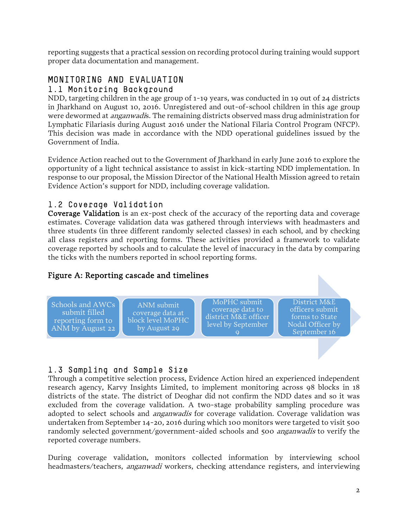reporting suggests that a practical session on recording protocol during training would support proper data documentation and management.

## <span id="page-3-0"></span>MONITORING AND EVALUATION 1.1 Monitoring Background

NDD, targeting children in the age group of 1-19 years, was conducted in 19 out of 24 districts in Jharkhand on August 10, 2016. Unregistered and out-of-school children in this age group were dewormed at *anganwadi*s. The remaining districts observed mass drug administration for Lymphatic Filariasis during August 2016 under the National Filaria Control Program (NFCP). This decision was made in accordance with the NDD operational guidelines issued by the Government of India.

Evidence Action reached out to the Government of Jharkhand in early June 2016 to explore the opportunity of a light technical assistance to assist in kick-starting NDD implementation. In response to our proposal, the Mission Director of the National Health Mission agreed to retain Evidence Action's support for NDD, including coverage validation.

## <span id="page-3-1"></span>1.2 Coverage Validation

Coverage Validation is an ex-post check of the accuracy of the reporting data and coverage estimates. Coverage validation data was gathered through interviews with headmasters and three students (in three different randomly selected classes) in each school, and by checking all class registers and reporting forms. These activities provided a framework to validate coverage reported by schools and to calculate the level of inaccuracy in the data by comparing the ticks with the numbers reported in school reporting forms.

### Figure A: Reporting cascade and timelines

Schools and AWCs submit filled reporting form to ANM by August 22

ANM submit coverage data at block level MoPHC by August 29

MoPHC submit coverage data to district M&E officer level by September

District M&E officers submit forms to State Nodal Officer by September 16

## <span id="page-3-2"></span>1.3 Sampling and Sample Size

Through a competitive selection process, Evidence Action hired an experienced independent research agency, Karvy Insights Limited, to implement monitoring across 98 blocks in 18 districts of the state. The district of Deoghar did not confirm the NDD dates and so it was excluded from the coverage validation. A two-stage probability sampling procedure was adopted to select schools and *anganwadis* for coverage validation. Coverage validation was undertaken from September 14-20, 2016 during which 100 monitors were targeted to visit 500 randomly selected government/government-aided schools and 500 *anganwadis* to verify the reported coverage numbers.

During coverage validation, monitors collected information by interviewing school headmasters/teachers, *anganwadi* workers, checking attendance registers, and interviewing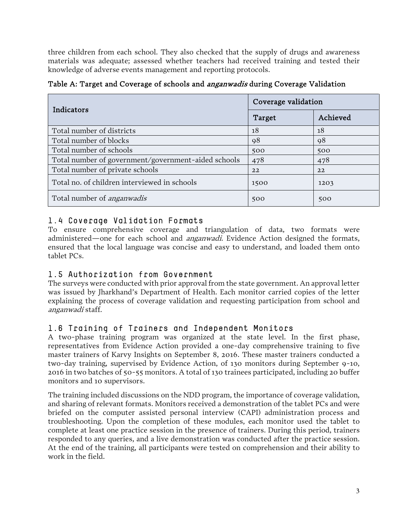three children from each school. They also checked that the supply of drugs and awareness materials was adequate; assessed whether teachers had received training and tested their knowledge of adverse events management and reporting protocols.

| Table A: Target and Coverage of schools and <i>anganwadis</i> during Coverage Validation |  |  |  |
|------------------------------------------------------------------------------------------|--|--|--|
|------------------------------------------------------------------------------------------|--|--|--|

| Indicators                                          | Coverage validation |          |  |  |
|-----------------------------------------------------|---------------------|----------|--|--|
|                                                     | Target              | Achieved |  |  |
| Total number of districts                           | 18                  | 18       |  |  |
| Total number of blocks                              | 98                  | 98       |  |  |
| Total number of schools                             | 500                 | 500      |  |  |
| Total number of government/government-aided schools | 478                 | 478      |  |  |
| Total number of private schools                     | 22                  | 22       |  |  |
| Total no. of children interviewed in schools        | 1500                | 1203     |  |  |
| Total number of <i>anganwadis</i>                   | 500                 | 500      |  |  |

## <span id="page-4-0"></span>1.4 Coverage Validation Formats

To ensure comprehensive coverage and triangulation of data, two formats were administered—one for each school and *anganwadi*. Evidence Action designed the formats, ensured that the local language was concise and easy to understand, and loaded them onto tablet PCs.

### <span id="page-4-1"></span>1.5 Authorization from Government

The surveys were conducted with prior approval from the state government. An approval letter was issued by Jharkhand's Department of Health. Each monitor carried copies of the letter explaining the process of coverage validation and requesting participation from school and anganwadi staff.

### <span id="page-4-2"></span>1.6 Training of Trainers and Independent Monitors

A two-phase training program was organized at the state level. In the first phase, representatives from Evidence Action provided a one-day comprehensive training to five master trainers of Karvy Insights on September 8, 2016. These master trainers conducted a two-day training, supervised by Evidence Action, of 130 monitors during September 9-10, 2016 in two batches of 50-55 monitors. A total of 130 trainees participated, including 20 buffer monitors and 10 supervisors.

The training included discussions on the NDD program, the importance of coverage validation, and sharing of relevant formats. Monitors received a demonstration of the tablet PCs and were briefed on the computer assisted personal interview (CAPI) administration process and troubleshooting. Upon the completion of these modules, each monitor used the tablet to complete at least one practice session in the presence of trainers. During this period, trainers responded to any queries, and a live demonstration was conducted after the practice session. At the end of the training, all participants were tested on comprehension and their ability to work in the field.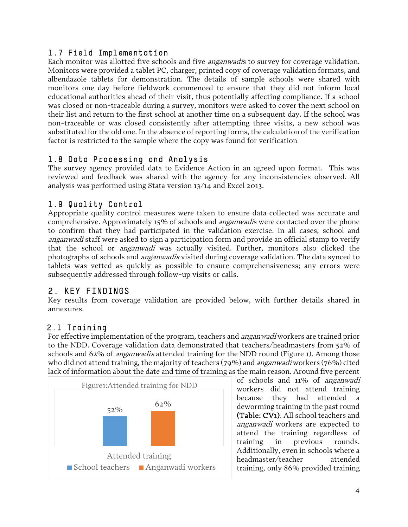#### <span id="page-5-0"></span>1.7 Field Implementation

Each monitor was allotted five schools and five *anganwadi*s to survey for coverage validation. Monitors were provided a tablet PC, charger, printed copy of coverage validation formats, and albendazole tablets for demonstration. The details of sample schools were shared with monitors one day before fieldwork commenced to ensure that they did not inform local educational authorities ahead of their visit, thus potentially affecting compliance. If a school was closed or non-traceable during a survey, monitors were asked to cover the next school on their list and return to the first school at another time on a subsequent day. If the school was non-traceable or was closed consistently after attempting three visits, a new school was substituted for the old one. In the absence of reporting forms, the calculation of the verification factor is restricted to the sample where the copy was found for verification

#### <span id="page-5-1"></span>1.8 Data Processing and Analysis

The survey agency provided data to Evidence Action in an agreed upon format. This was reviewed and feedback was shared with the agency for any inconsistencies observed. All analysis was performed using Stata version 13/14 and Excel 2013.

## <span id="page-5-2"></span>1.9 Quality Control

Appropriate quality control measures were taken to ensure data collected was accurate and comprehensive. Approximately 15% of schools and *anganwadi*s were contacted over the phone to confirm that they had participated in the validation exercise. In all cases, school and anganwadi staff were asked to sign a participation form and provide an official stamp to verify that the school or anganwadi was actually visited. Further, monitors also clicked the photographs of schools and anganwadis visited during coverage validation. The data synced to tablets was vetted as quickly as possible to ensure comprehensiveness; any errors were subsequently addressed through follow-up visits or calls.

### <span id="page-5-3"></span>2. KEY FINDINGS

Key results from coverage validation are provided below, with further details shared in annexures.

### <span id="page-5-4"></span>2.1 Training

For effective implementation of the program, teachers and *anganwadi* workers are trained prior to the NDD. Coverage validation data demonstrated that teachers/headmasters from 52% of schools and 62% of *anganwadis* attended training for the NDD round (Figure 1). Among those who did not attend training, the majority of teachers (79%) and *anganwadi* workers (76%) cited lack of information about the date and time of training as the main reason. Around five percent



of schools and 11% of anganwadi workers did not attend training because they had attended a deworming training in the past round (Table: CV1). All school teachers and anganwadi workers are expected to attend the training regardless of training in previous rounds. Additionally, even in schools where a headmaster/teacher attended training, only 86% provided training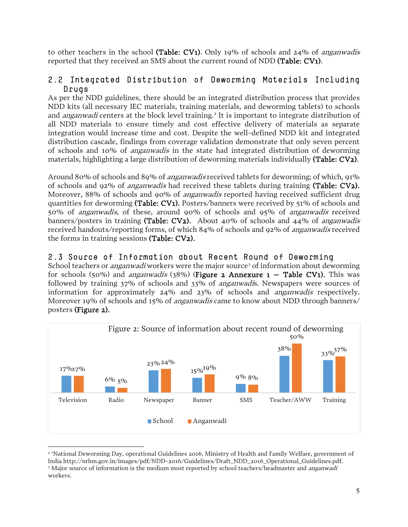to other teachers in the school (Table: CV1). Only 19% of schools and 24% of *anganwadis* reported that they received an SMS about the current round of NDD (Table: CV1).

#### <span id="page-6-0"></span>2.2 Integrated Distribution of Deworming Materials Including Drugs

As per the NDD guidelines, there should be an integrated distribution process that provides NDD kits (all necessary IEC materials, training materials, and deworming tablets) to schools and *anganwadi* centers at the block level training.<sup>[2](#page-6-3)</sup> It is important to integrate distribution of all NDD materials to ensure timely and cost effective delivery of materials as separate integration would increase time and cost. Despite the well-defined NDD kit and integrated distribution cascade, findings from coverage validation demonstrate that only seven percent of schools and 10% of anganwadis in the state had integrated distribution of deworming materials, highlighting a large distribution of deworming materials individually (Table: CV2).

Around 80% of schools and 89% of *anganwadis* received tablets for deworming; of which, 91% of schools and 92% of *anganwadis* had received these tablets during training (Table:  $CV2$ ). Moreover, 88% of schools and 90% of *anganwadis* reported having received sufficient drug quantities for deworming (Table: CV1). Posters/banners were received by 51% of schools and 50% of anganwadis, of these, around 90% of schools and 95% of anganwadis received banners/posters in training (Table:  $CV_2$ ). About 40% of schools and 44% of *anganwadis* received handouts/reporting forms, of which 84% of schools and 92% of anganwadis received the forms in training sessions (Table: CV2).

### <span id="page-6-1"></span>2.3 Source of Information about Recent Round of Deworming

<span id="page-6-2"></span>School teachers or *anganwadi* workers were the major source<sup>[3](#page-6-4)</sup> of information about deworming for schools (50%) and *anganwadis* (38%) (Figure 2 Annexure  $1 -$  Table CV1). This was followed by training 37% of schools and 33% of anganwadis. Newspapers were sources of information for approximately 24% and 23% of schools and anganwadis respectively. Moreover 19% of schools and 15% of *anganwadis* came to know about NDD through banners/ posters (Figure 2).



<span id="page-6-4"></span><span id="page-6-3"></span><sup>2</sup> 'National Deworming Day, operational Guidelines 2016, Ministry of Health and Family Welfare, government of India http://nrhm.gov.in/images/pdf/NDD-2016/Guidelines/Draft\_NDD\_2016\_Operational\_Guidelines.pdf. <sup>3</sup> Major source of information is the medium most reported by school teachers/headmaster and *anganwadi* workers.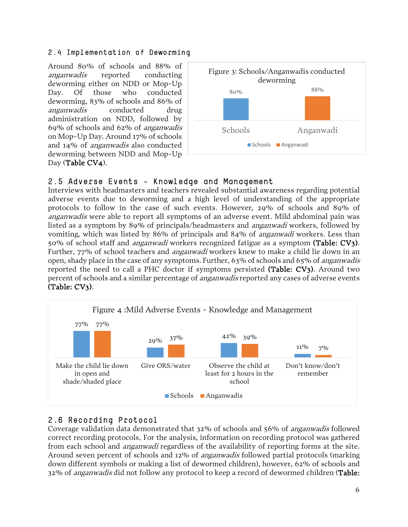#### 2.4 Implementation of Deworming

Around 80% of schools and 88% of anganwadis reported conducting deworming either on NDD or Mop-Up Day. Of those who conducted deworming, 83% of schools and 86% of anganwadis conducted drug administration on NDD, followed by 69% of schools and 62% of anganwadis on Mop-Up Day. Around 17% of schools and 14% of anganwadis also conducted deworming between NDD and Mop-Up Day (Table CV4).



## <span id="page-7-0"></span>2.5 Adverse Events - Knowledge and Management

Interviews with headmasters and teachers revealed substantial awareness regarding potential adverse events due to deworming and a high level of understanding of the appropriate protocols to follow in the case of such events. However, 29% of schools and 89% of anganwadis were able to report all symptoms of an adverse event. Mild abdominal pain was listed as a symptom by 89% of principals/headmasters and anganwadi workers, followed by vomiting, which was listed by 86% of principals and 84% of anganwadi workers. Less than 50% of school staff and anganwadi workers recognized fatigue as a symptom (Table: CV3). Further, 77% of school teachers and *anganwadi* workers knew to make a child lie down in an open, shady place in the case of any symptoms. Further, 63% of schools and 65% of anganwadis reported the need to call a PHC doctor if symptoms persisted (Table: CV3). Around two percent of schools and a similar percentage of *anganwadis* reported any cases of adverse events (Table: CV3).



## <span id="page-7-1"></span>2.6 Recording Protocol

Coverage validation data demonstrated that 32% of schools and 56% of anganwadis followed correct recording protocols. For the analysis, information on recording protocol was gathered from each school and anganwadi regardless of the availability of reporting forms at the site. Around seven percent of schools and 12% of anganwadis followed partial protocols (marking down different symbols or making a list of dewormed children), however, 62% of schools and 32% of *anganwadis* did not follow any protocol to keep a record of dewormed children (Table: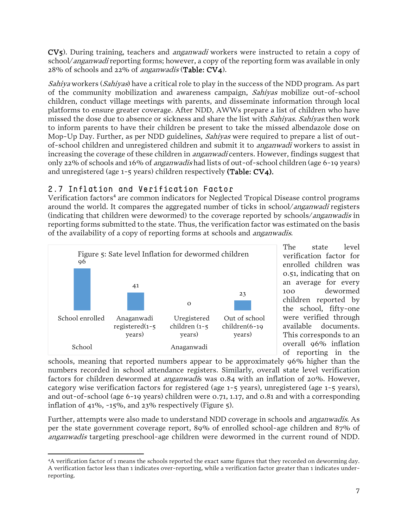CV5). During training, teachers and anganwadi workers were instructed to retain a copy of school/*anganwadi* reporting forms; however, a copy of the reporting form was available in only 28% of schools and 22% of anganwadis (Table: CV4).

Sahiya workers (Sahiyas) have a critical role to play in the success of the NDD program. As part of the community mobilization and awareness campaign, Sahiyas mobilize out-of-school children, conduct village meetings with parents, and disseminate information through local platforms to ensure greater coverage. After NDD, AWWs prepare a list of children who have missed the dose due to absence or sickness and share the list with *Sahiyas. Sahiyas* then work to inform parents to have their children be present to take the missed albendazole dose on Mop-Up Day. Further, as per NDD guidelines, Sahiyas were required to prepare a list of outof-school children and unregistered children and submit it to anganwadi workers to assist in increasing the coverage of these children in *anganwadi* centers. However, findings suggest that only 22% of schools and 16% of anganwadis had lists of out-of-school children (age 6-19 years) and unregistered (age 1-5 years) children respectively (Table: CV4).

## <span id="page-8-0"></span>2.7 Inflation and Verification Factor

Verification factors<sup>[4](#page-8-1)</sup> are common indicators for Neglected Tropical Disease control programs around the world. It compares the aggregated number of ticks in school/*anganwadi* registers (indicating that children were dewormed) to the coverage reported by schools/anganwadis in reporting forms submitted to the state. Thus, the verification factor was estimated on the basis of the availability of a copy of reporting forms at schools and anganwadis.



The state level verification factor for enrolled children was 0.51, indicating that on an average for every 100 dewormed children reported by the school, fifty-one were verified through available documents. This corresponds to an overall 96% inflation of reporting in the

schools, meaning that reported numbers appear to be approximately 96% higher than the numbers recorded in school attendance registers. Similarly, overall state level verification factors for children dewormed at anganwadis was 0.84 with an inflation of 20%. However, category wise verification factors for registered (age 1-5 years), unregistered (age 1-5 years), and out-of-school (age 6-19 years) children were 0.71, 1.17, and 0.81 and with a corresponding inflation of 41%, -15%, and 23% respectively (Figure 5).

Further, attempts were also made to understand NDD coverage in schools and anganwadis. As per the state government coverage report, 89% of enrolled school-age children and 87% of anganwadis targeting preschool-age children were dewormed in the current round of NDD.

<span id="page-8-1"></span>l 4A verification factor of 1 means the schools reported the exact same figures that they recorded on deworming day. A verification factor less than 1 indicates over-reporting, while a verification factor greater than 1 indicates underreporting.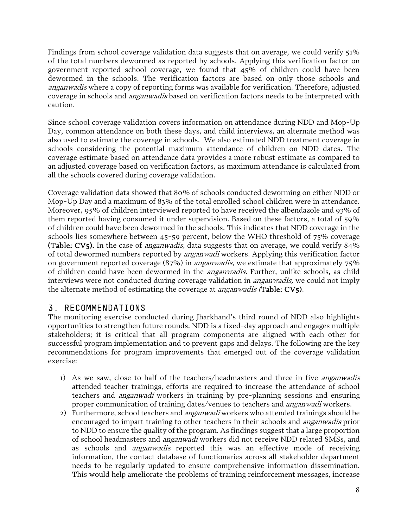Findings from school coverage validation data suggests that on average, we could verify 51% of the total numbers dewormed as reported by schools. Applying this verification factor on government reported school coverage, we found that 45% of children could have been dewormed in the schools. The verification factors are based on only those schools and anganwadis where a copy of reporting forms was available for verification. Therefore, adjusted coverage in schools and *anganwadis* based on verification factors needs to be interpreted with caution.

Since school coverage validation covers information on attendance during NDD and Mop-Up Day, common attendance on both these days, and child interviews, an alternate method was also used to estimate the coverage in schools. We also estimated NDD treatment coverage in schools considering the potential maximum attendance of children on NDD dates. The coverage estimate based on attendance data provides a more robust estimate as compared to an adjusted coverage based on verification factors, as maximum attendance is calculated from all the schools covered during coverage validation.

Coverage validation data showed that 80% of schools conducted deworming on either NDD or Mop-Up Day and a maximum of 83% of the total enrolled school children were in attendance. Moreover, 95% of children interviewed reported to have received the albendazole and 93% of them reported having consumed it under supervision. Based on these factors, a total of 59% of children could have been dewormed in the schools. This indicates that NDD coverage in the schools lies somewhere between 45-59 percent, below the WHO threshold of 75% coverage (Table: CV5). In the case of *anganwadis*, data suggests that on average, we could verify  $84\%$ of total dewormed numbers reported by *anganwadi* workers. Applying this verification factor on government reported coverage  $(87%)$  in *anganwadis*, we estimate that approximately  $75%$ of children could have been dewormed in the *anganwadis*. Further, unlike schools, as child interviews were not conducted during coverage validation in *anganwadis*, we could not imply the alternate method of estimating the coverage at *anganwadis* (Table: CV5).

## <span id="page-9-0"></span>3. RECOMMENDATIONS

The monitoring exercise conducted during Jharkhand's third round of NDD also highlights opportunities to strengthen future rounds. NDD is a fixed-day approach and engages multiple stakeholders; it is critical that all program components are aligned with each other for successful program implementation and to prevent gaps and delays. The following are the key recommendations for program improvements that emerged out of the coverage validation exercise:

- 1) As we saw, close to half of the teachers/headmasters and three in five *anganwadis* attended teacher trainings, efforts are required to increase the attendance of school teachers and *anganwadi* workers in training by pre-planning sessions and ensuring proper communication of training dates/venues to teachers and *anganwadi* workers.
- 2) Furthermore, school teachers and *anganwadi* workers who attended trainings should be encouraged to impart training to other teachers in their schools and anganwadis prior to NDD to ensure the quality of the program. As findings suggest that a large proportion of school headmasters and *anganwadi* workers did not receive NDD related SMSs, and as schools and *anganwadis* reported this was an effective mode of receiving information, the contact database of functionaries across all stakeholder department needs to be regularly updated to ensure comprehensive information dissemination. This would help ameliorate the problems of training reinforcement messages, increase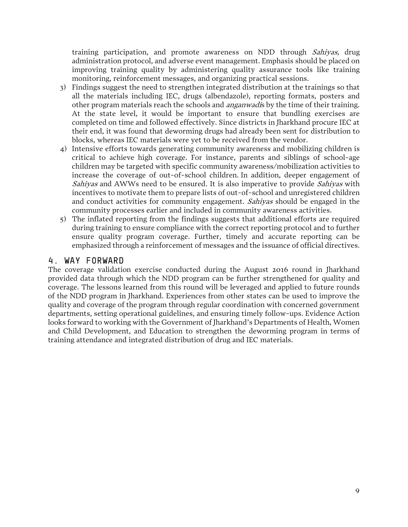training participation, and promote awareness on NDD through *Sahiyas*, drug administration protocol, and adverse event management. Emphasis should be placed on improving training quality by administering quality assurance tools like training monitoring, reinforcement messages, and organizing practical sessions.

- 3) Findings suggest the need to strengthen integrated distribution at the trainings so that all the materials including IEC, drugs (albendazole), reporting formats, posters and other program materials reach the schools and *anganwadi*s by the time of their training. At the state level, it would be important to ensure that bundling exercises are completed on time and followed effectively. Since districts in Jharkhand procure IEC at their end, it was found that deworming drugs had already been sent for distribution to blocks, whereas IEC materials were yet to be received from the vendor.
- 4) Intensive efforts towards generating community awareness and mobilizing children is critical to achieve high coverage. For instance, parents and siblings of school-age children may be targeted with specific community awareness/mobilization activities to increase the coverage of out-of-school children. In addition, deeper engagement of Sahiyas and AWWs need to be ensured. It is also imperative to provide Sahiyas with incentives to motivate them to prepare lists of out-of-school and unregistered children and conduct activities for community engagement. Sahiyas should be engaged in the community processes earlier and included in community awareness activities.
- 5) The inflated reporting from the findings suggests that additional efforts are required during training to ensure compliance with the correct reporting protocol and to further ensure quality program coverage. Further, timely and accurate reporting can be emphasized through a reinforcement of messages and the issuance of official directives.

### <span id="page-10-0"></span>4. WAY FORWARD

<span id="page-10-1"></span>The coverage validation exercise conducted during the August 2016 round in Jharkhand provided data through which the NDD program can be further strengthened for quality and coverage. The lessons learned from this round will be leveraged and applied to future rounds of the NDD program in Jharkhand. Experiences from other states can be used to improve the quality and coverage of the program through regular coordination with concerned government departments, setting operational guidelines, and ensuring timely follow-ups. Evidence Action looks forward to working with the Government of Jharkhand's Departments of Health, Women and Child Development, and Education to strengthen the deworming program in terms of training attendance and integrated distribution of drug and IEC materials.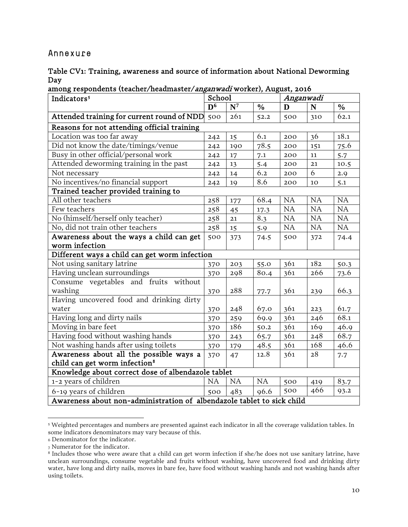#### Annexure

| Table CV1: Training, awareness and source of information about National Deworming |  |  |  |
|-----------------------------------------------------------------------------------|--|--|--|
| Day                                                                               |  |  |  |

among respondents (teacher/headmaster/anganwadi worker), August, 2016

| Indicators <sup>5</sup>                                                | School         |       |               | Anganwadi |             |               |
|------------------------------------------------------------------------|----------------|-------|---------------|-----------|-------------|---------------|
|                                                                        | $\mathbf{D}^6$ | $N^7$ | $\frac{0}{0}$ | D         | $\mathbf N$ | $\frac{0}{0}$ |
| Attended training for current round of NDD                             | 500            | 261   | 52.2          | 500       | 310         | 62.1          |
| Reasons for not attending official training                            |                |       |               |           |             |               |
| Location was too far away                                              | 242            | 15    | 6.1           | 200       | 36          | 18.1          |
| Did not know the date/timings/venue                                    | 242            | 190   | 78.5          | 200       | 151         | 75.6          |
| Busy in other official/personal work                                   | 242            | 17    | 7.1           | 200       | ${\bf 11}$  | 5.7           |
| Attended deworming training in the past                                | 242            | 13    | 5.4           | 200       | 21          | 10.5          |
| Not necessary                                                          | 242            | 14    | 6.2           | 200       | 6           | 2.9           |
| No incentives/no financial support                                     | 242            | 19    | 8.6           | 200       | 10          | 5.1           |
| Trained teacher provided training to                                   |                |       |               |           |             |               |
| All other teachers                                                     | 258            | 177   | 68.4          | <b>NA</b> | <b>NA</b>   | NA            |
| Few teachers                                                           | 258            | 45    | 17.3          | NA        | <b>NA</b>   | NA            |
| No (himself/herself only teacher)                                      | 258            | 21    | 8.3           | NA        | NA          | NA            |
| No, did not train other teachers                                       | 258            | 15    | 5.9           | NA        | NA          | NA            |
| Awareness about the ways a child can get                               | 500            | 373   | 74.5          | 500       | 372         | 74.4          |
| worm infection                                                         |                |       |               |           |             |               |
| Different ways a child can get worm infection                          |                |       |               |           |             |               |
| Not using sanitary latrine                                             | 370            | 203   | 55.0          | 361       | 182         | 50.3          |
| Having unclean surroundings                                            | 370            | 298   | 80.4          | 361       | 266         | 73.6          |
| Consume vegetables and fruits without                                  |                |       |               |           |             |               |
| washing                                                                | 370            | 288   | 77.7          | 361       | 239         | 66.3          |
| Having uncovered food and drinking dirty                               |                |       |               |           |             |               |
| water                                                                  | 370            | 248   | 67.0          | 361       | 223         | 61.7          |
| Having long and dirty nails                                            | 370            | 259   | 69.9          | 361       | 246         | 68.1          |
| Moving in bare feet                                                    | 370            | 186   | 50.2          | 361       | 169         | 46.9          |
| Having food without washing hands                                      | 370            | 243   | 65.7          | 361       | 248         | 68.7          |
| Not washing hands after using toilets                                  | 370            | 179   | 48.5          | 361       | 168         | 46.6          |
| Awareness about all the possible ways a                                | 370            | 47    | 12.8          | 361       | 28          | 7.7           |
| child can get worm infection <sup>8</sup>                              |                |       |               |           |             |               |
| Knowledge about correct dose of albendazole tablet                     |                |       |               |           |             |               |
| 1-2 years of children                                                  | <b>NA</b>      | NA    | NA            | 500       | 419         | 83.7          |
| 6-19 years of children                                                 | 500            | 483   | 96.6          | 500       | 466         | 93.2          |
| Awareness about non-administration of albendazole tablet to sick child |                |       |               |           |             |               |

<span id="page-11-0"></span><sup>5</sup> Weighted percentages and numbers are presented against each indicator in all the coverage validation tables. In some indicators denominators may vary because of this.

<span id="page-11-1"></span><sup>6</sup> Denominator for the indicator.

<span id="page-11-2"></span><sup>7</sup> Numerator for the indicator.

<span id="page-11-3"></span><sup>&</sup>lt;sup>8</sup> Includes those who were aware that a child can get worm infection if she/he does not use sanitary latrine, have unclean surroundings, consume vegetable and fruits without washing, have uncovered food and drinking dirty water, have long and dirty nails, moves in bare fee, have food without washing hands and not washing hands after using toilets.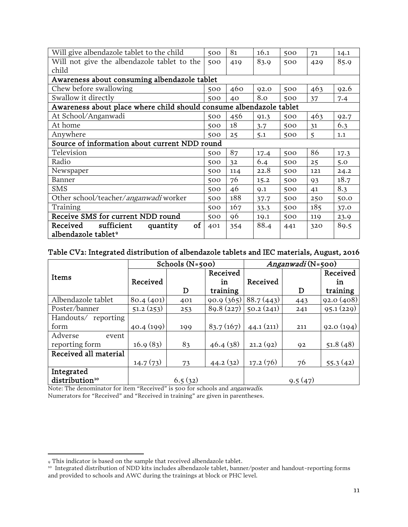| Will give albendazole tablet to the child                           | 500 | 81  | 16.1 | 500 | 71  | 14.1 |
|---------------------------------------------------------------------|-----|-----|------|-----|-----|------|
| Will not give the albendazole tablet to the                         | 500 | 419 | 83.9 | 500 | 429 | 85.9 |
| child                                                               |     |     |      |     |     |      |
| Awareness about consuming albendazole tablet                        |     |     |      |     |     |      |
| Chew before swallowing                                              | 500 | 460 | 92.0 | 500 | 463 | 92.6 |
| Swallow it directly                                                 | 500 | 40  | 8.0  | 500 | 37  | 7.4  |
| Awareness about place where child should consume albendazole tablet |     |     |      |     |     |      |
| At School/Anganwadi                                                 | 500 | 456 | 91.3 | 500 | 463 | 92.7 |
| At home                                                             | 500 | 18  | 3.7  | 500 | 31  | 6.3  |
| Anywhere                                                            | 500 | 25  | 5.1  | 500 | 5   | 1.1  |
| Source of information about current NDD round                       |     |     |      |     |     |      |
| Television                                                          | 500 | 87  | 17.4 | 500 | 86  | 17.3 |
| Radio                                                               | 500 | 32  | 6.4  | 500 | 25  | 5.0  |
| Newspaper                                                           | 500 | 114 | 22.8 | 500 | 121 | 24.2 |
| Banner                                                              | 500 | 76  | 15.2 | 500 | 93  | 18.7 |
| <b>SMS</b>                                                          | 500 | 46  | 9.1  | 500 | 41  | 8.3  |
| Other school/teacher/anganwadi worker                               | 500 | 188 | 37.7 | 500 | 250 | 50.0 |
| Training                                                            | 500 | 167 | 33.3 | 500 | 185 | 37.0 |
| Receive SMS for current NDD round                                   | 500 | 96  | 19.1 | 500 | 119 | 23.9 |
| sufficient<br>of<br>Received<br>quantity                            | 401 | 354 | 88.4 | 441 | 320 | 89.5 |
| albendazole tablet <sup>9</sup>                                     |     |     |      |     |     |      |

#### Table CV2: Integrated distribution of albendazole tablets and IEC materials, August, 2016

|                            |           | Schools $(N=500)$ |           | Anganwadi (N=500) |         |           |  |
|----------------------------|-----------|-------------------|-----------|-------------------|---------|-----------|--|
| Items                      |           |                   | Received  |                   |         | Received  |  |
|                            | Received  |                   | in        | Received          |         | în        |  |
|                            |           | D                 | training  |                   | D       | training  |  |
| Albendazole tablet         | 80.4(401) | 401               | 90.9(365) | 88.7(443)         | 443     | 92.0(408) |  |
| Poster/banner              | 51.2(253) | 253               | 89.8(227) | 50.2(241)         | 241     | 95.1(229) |  |
| Handouts/ reporting        |           |                   |           |                   |         |           |  |
| form                       | 40.4(199) | 199               | 83.7(167) | 44.1(211)         | 211     | 92.0(194) |  |
| Adverse<br>event           |           |                   |           |                   |         |           |  |
| reporting form             | 16.9(83)  | 83                | 46.4(38)  | 21.2(92)          | 92      | 51.8(48)  |  |
| Received all material      |           |                   |           |                   |         |           |  |
|                            | 14.7(73)  | 73                | 44.2(32)  | 17.2(76)          | 76      | 55.3(42)  |  |
| Integrated                 |           |                   |           |                   |         |           |  |
| distribution <sup>10</sup> |           | 6.5(32)           |           |                   | 9.5(47) |           |  |

Note: The denominator for item "Received" is 500 for schools and anganwadis. Numerators for "Received" and "Received in training" are given in parentheses.

<sup>9</sup> This indicator is based on the sample that received albendazole tablet.

<span id="page-12-1"></span><span id="page-12-0"></span><sup>10</sup> Integrated distribution of NDD kits includes albendazole tablet, banner/poster and handout-reporting forms and provided to schools and AWC during the trainings at block or PHC level.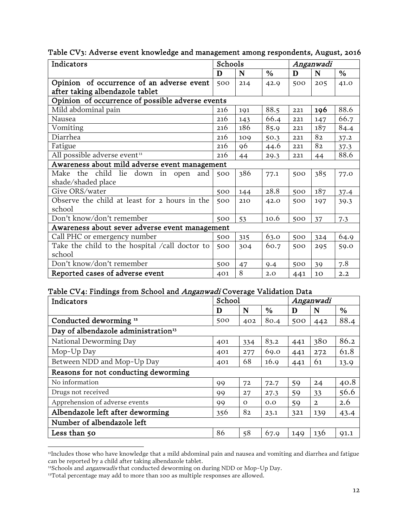| Indicators                                       | Schools<br>Anganwadi |     |               |     |     |               |
|--------------------------------------------------|----------------------|-----|---------------|-----|-----|---------------|
|                                                  | D                    | N   | $\frac{0}{0}$ | D   | N   | $\frac{6}{6}$ |
| Opinion of occurrence of an adverse event        | 500                  | 214 | 42.9          | 500 | 205 | 41.0          |
| after taking albendazole tablet                  |                      |     |               |     |     |               |
| Opinion of occurrence of possible adverse events |                      |     |               |     |     |               |
| Mild abdominal pain                              | 216                  | 191 | 88.5          | 221 | 196 | 88.6          |
| Nausea                                           | 216                  | 143 | 66.4          | 221 | 147 | 66.7          |
| Vomiting                                         | 216                  | 186 | 85.9          | 221 | 187 | 84.4          |
| Diarrhea                                         | 216                  | 109 | 50.3          | 221 | 82  | 37.2          |
| Fatigue                                          | 216                  | 96  | 44.6          | 221 | 82  | 37.3          |
| All possible adverse event <sup>11</sup>         | 216                  | 44  | 29.3          | 221 | 44  | 88.6          |
| Awareness about mild adverse event management    |                      |     |               |     |     |               |
| Make the child lie down in open<br>and           | 500                  | 386 | 77.1          | 500 | 385 | 77.0          |
| shade/shaded place                               |                      |     |               |     |     |               |
| Give ORS/water                                   | 500                  | 144 | 28.8          | 500 | 187 | 37.4          |
| Observe the child at least for 2 hours in the    | 500                  | 210 | 42.0          | 500 | 197 | 39.3          |
| school                                           |                      |     |               |     |     |               |
| Don't know/don't remember                        | 500                  | 53  | 10.6          | 500 | 37  | 7.3           |
| Awareness about sever adverse event management   |                      |     |               |     |     |               |
| Call PHC or emergency number                     | 500                  | 315 | 63.0          | 500 | 324 | 64.9          |
| Take the child to the hospital /call doctor to   | 500                  | 304 | 60.7          | 500 | 295 | 59.0          |
| school                                           |                      |     |               |     |     |               |
| Don't know/don't remember                        | 500                  | 47  | 9.4           | 500 | 39  | 7.8           |
| Reported cases of adverse event                  | 401                  | 8   | 2.0           | 441 | 10  | 2.2           |

#### Table CV3: Adverse event knowledge and management among respondents, August, 2016

#### Table CV4: Findings from School and Anganwadi Coverage Validation Data

| Indicators                                      | School |          |               | Anganwadi |              |               |
|-------------------------------------------------|--------|----------|---------------|-----------|--------------|---------------|
|                                                 | D      | N        | $\frac{0}{0}$ | D         | N            | $\frac{6}{6}$ |
| Conducted deworming <sup>12</sup>               | 500    | 402      | 80.4          | 500       | 442          | 88.4          |
| Day of albendazole administration <sup>13</sup> |        |          |               |           |              |               |
| National Deworming Day                          | 401    | 334      | 83.2          | 441       | 380          | 86.2          |
| Mop-Up Day                                      | 401    | 277      | 69.0          | 441       | 272          | 61.8          |
| Between NDD and Mop-Up Day                      | 401    | 68       | 16.9          | 441       | 61           | 13.9          |
| Reasons for not conducting deworming            |        |          |               |           |              |               |
| No information                                  | 99     | 72       | 72.7          | 59        | 24           | 40.8          |
| Drugs not received                              | 99     | 27       | 27.3          | 59        | 33           | 56.6          |
| Apprehension of adverse events                  | 99     | $\Omega$ | 0.0           | 59        | $\mathbf{2}$ | 2.6           |
| Albendazole left after deworming                | 356    | 82       | 23.1          | 321       | 139          | 43.4          |
| Number of albendazole left                      |        |          |               |           |              |               |
| Less than 50                                    | 86     | 58       | 67.9          | 149       | 136          | 91.1          |

<span id="page-13-0"></span><sup>11</sup>Includes those who have knowledge that a mild abdominal pain and nausea and vomiting and diarrhea and fatigue can be reported by a child after taking albendazole tablet.

<span id="page-13-1"></span><sup>&</sup>lt;sup>12</sup>Schools and *anganwadis* that conducted deworming on during NDD or Mop-Up Day.

<span id="page-13-2"></span><sup>&</sup>lt;sup>13</sup>Total percentage may add to more than 100 as multiple responses are allowed.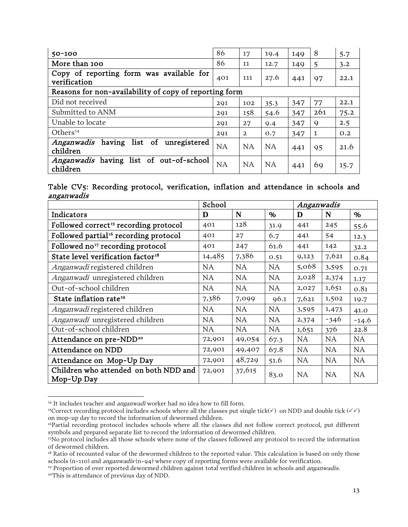| $50 - 100$                                                   | 86  | 17           | 19.4 | 149 | 8   | 5.7  |
|--------------------------------------------------------------|-----|--------------|------|-----|-----|------|
| More than 100                                                | 86  | 11           | 12.7 | 149 | 5   | 3.2  |
| Copy of reporting form was available for<br>verification     | 401 | 111          | 27.6 | 441 | 97  | 22.1 |
| Reasons for non-availability of copy of reporting form       |     |              |      |     |     |      |
| Did not received                                             | 291 | 102          | 35.3 | 347 | 77  | 22.1 |
| Submitted to ANM                                             | 291 | 158          | 54.6 | 347 | 261 | 75.2 |
| Unable to locate                                             | 291 | 27           | 9.4  | 347 | 9   | 2.5  |
| Others <sup>14</sup>                                         | 291 | $\mathbf{2}$ | O.7  | 347 | 1   | 0.2  |
| list of unregistered<br><i>Anganwadis</i> having<br>children | NA  | NA           | NA   | 441 | 95  | 21.6 |
| Anganwadis having list of out-of-school<br>children          | NA  | NA           | NA   | 441 | 69  | 15.7 |

Table CV5: Recording protocol, verification, inflation and attendance in schools and anganwadis

|                                                     | School    |           |           | Anganwadis |           |           |
|-----------------------------------------------------|-----------|-----------|-----------|------------|-----------|-----------|
| Indicators                                          | D         | N         | %         | D          | N         | %         |
| Followed correct <sup>15</sup> recording protocol   | 401       | 128       | 31.9      | 441        | 245       | 55.6      |
| Followed partial <sup>16</sup> recording protocol   | 401       | 27        | 6.7       | 441        | 54        | 12.3      |
| Followed no <sup>17</sup> recording protocol        | 401       | 247       | 61.6      | 441        | 142       | 32.2      |
| State level verification factor <sup>18</sup>       | 14,485    | 7,386     | 0.51      | 9,123      | 7,621     | 0.84      |
| Anganwadi registered children                       | NA        | <b>NA</b> | <b>NA</b> | 5,068      | 3,595     | 0.71      |
| Anganwadi unregistered children                     | NA        | <b>NA</b> | <b>NA</b> | 2,028      | 2,374     | 1.17      |
| Out-of-school children                              | NA        | <b>NA</b> | <b>NA</b> | 2,027      | 1,651     | 0.81      |
| State inflation rate <sup>19</sup>                  | 7,386     | 7,099     | 96.1      | 7,621      | 1,502     | 19.7      |
| Anganwadi registered children                       | <b>NA</b> | <b>NA</b> | <b>NA</b> | 3,595      | 1,473     | 41.0      |
| Anganwadi unregistered children                     | NA        | <b>NA</b> | <b>NA</b> | 2,374      | $-346$    | $-14.6$   |
| Out-of-school children                              | NA        | <b>NA</b> | <b>NA</b> | 1,651      | 376       | 22.8      |
| Attendance on pre-NDD <sup>20</sup>                 | 72,901    | 49,054    | 67.3      | NA         | NA        | <b>NA</b> |
| <b>Attendance on NDD</b>                            | 72,901    | 49,407    | 67.8      | NA         | NA        | <b>NA</b> |
| Attendance on Mop-Up Day                            | 72,901    | 48,729    | 51.6      | <b>NA</b>  | <b>NA</b> | <b>NA</b> |
| Children who attended on both NDD and<br>Mop-Up Day | 72,901    | 37,615    | 83.0      | <b>NA</b>  | <b>NA</b> | <b>NA</b> |

<span id="page-14-0"></span><sup>&</sup>lt;sup>14</sup> It includes teacher and *anganwadi* worker had no idea how to fill form.

 $\overline{\phantom{a}}$ 

<span id="page-14-1"></span><sup>&</sup>lt;sup>15</sup>Correct recording protocol includes schools where all the classes put single tick( $\checkmark$ ) on NDD and double tick ( $\checkmark\checkmark$ ) on mop-up day to record the information of dewormed children.

<span id="page-14-2"></span><sup>&</sup>lt;sup>16</sup>Partial recording protocol includes schools where all the classes did not follow correct protocol, put different symbols and prepared separate list to record the information of dewormed children.

<span id="page-14-3"></span><sup>17</sup>No protocol includes all those schools where none of the classes followed any protocol to record the information of dewormed children.

<span id="page-14-4"></span><sup>&</sup>lt;sup>18</sup> Ratio of recounted value of the dewormed children to the reported value. This calculation is based on only those schools (n=110) and *anganwadis* (n=94) where copy of reporting forms were available for verification.

<span id="page-14-5"></span><sup>&</sup>lt;sup>19</sup> Proportion of over reported dewormed children against total verified children in schools and *anganwadis.* 

<span id="page-14-6"></span><sup>&</sup>lt;sup>20</sup>This is attendance of previous day of NDD.